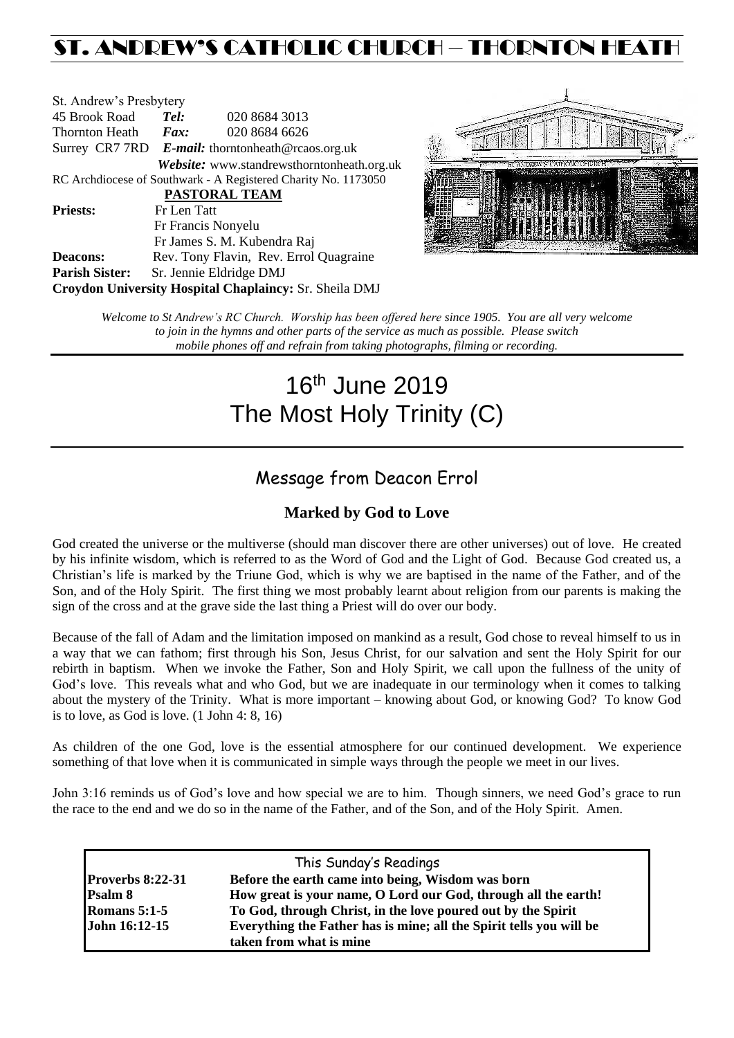# ST. ANDREW'S CATHOLIC CHURCH – THORNTON HEAT

| St. Andrew's Presbytery |                                                   |                                                                |  |  |  |
|-------------------------|---------------------------------------------------|----------------------------------------------------------------|--|--|--|
| 45 Brook Road           | Tel:                                              | 020 8684 3013                                                  |  |  |  |
| Thornton Heath          | Fax:                                              | 020 8684 6626                                                  |  |  |  |
|                         | Surrey CR7 7RD E-mail: thorntonheath@rcaos.org.uk |                                                                |  |  |  |
|                         |                                                   | Website: www.standrewsthorntonheath.org.uk                     |  |  |  |
|                         |                                                   | RC Archdiocese of Southwark - A Registered Charity No. 1173050 |  |  |  |
|                         |                                                   | <b>PASTORAL TEAM</b>                                           |  |  |  |
| <b>Priests:</b>         | Fr Len Tatt                                       |                                                                |  |  |  |
|                         |                                                   | Fr Francis Nonyelu                                             |  |  |  |
|                         |                                                   | Fr James S. M. Kubendra Raj                                    |  |  |  |
| <b>Deacons:</b>         |                                                   | Rev. Tony Flavin, Rev. Errol Quagraine                         |  |  |  |
| <b>Parish Sister:</b>   |                                                   | Sr. Jennie Eldridge DMJ                                        |  |  |  |
|                         |                                                   | Croydon University Hospital Chaplaincy: Sr. Sheila DMJ         |  |  |  |



*Welcome to St Andrew's RC Church. Worship has been offered here since 1905. You are all very welcome to join in the hymns and other parts of the service as much as possible. Please switch mobile phones off and refrain from taking photographs, filming or recording.*

# 16 th June 2019 The Most Holy Trinity (C)

# Message from Deacon Errol

# **Marked by God to Love**

God created the universe or the multiverse (should man discover there are other universes) out of love. He created by his infinite wisdom, which is referred to as the Word of God and the Light of God. Because God created us, a Christian's life is marked by the Triune God, which is why we are baptised in the name of the Father, and of the Son, and of the Holy Spirit. The first thing we most probably learnt about religion from our parents is making the sign of the cross and at the grave side the last thing a Priest will do over our body.

Because of the fall of Adam and the limitation imposed on mankind as a result, God chose to reveal himself to us in a way that we can fathom; first through his Son, Jesus Christ, for our salvation and sent the Holy Spirit for our rebirth in baptism. When we invoke the Father, Son and Holy Spirit, we call upon the fullness of the unity of God's love. This reveals what and who God, but we are inadequate in our terminology when it comes to talking about the mystery of the Trinity. What is more important – knowing about God, or knowing God? To know God is to love, as God is love. (1 John 4: 8, 16)

As children of the one God, love is the essential atmosphere for our continued development. We experience something of that love when it is communicated in simple ways through the people we meet in our lives.

John 3:16 reminds us of God's love and how special we are to him. Though sinners, we need God's grace to run the race to the end and we do so in the name of the Father, and of the Son, and of the Holy Spirit. Amen.

|                         | This Sunday's Readings                                              |  |
|-------------------------|---------------------------------------------------------------------|--|
| <b>Proverbs 8:22-31</b> | Before the earth came into being, Wisdom was born                   |  |
| Psalm 8                 | How great is your name, O Lord our God, through all the earth!      |  |
| <b>Romans 5:1-5</b>     | To God, through Christ, in the love poured out by the Spirit        |  |
| John 16:12-15           | Everything the Father has is mine; all the Spirit tells you will be |  |
|                         | taken from what is mine                                             |  |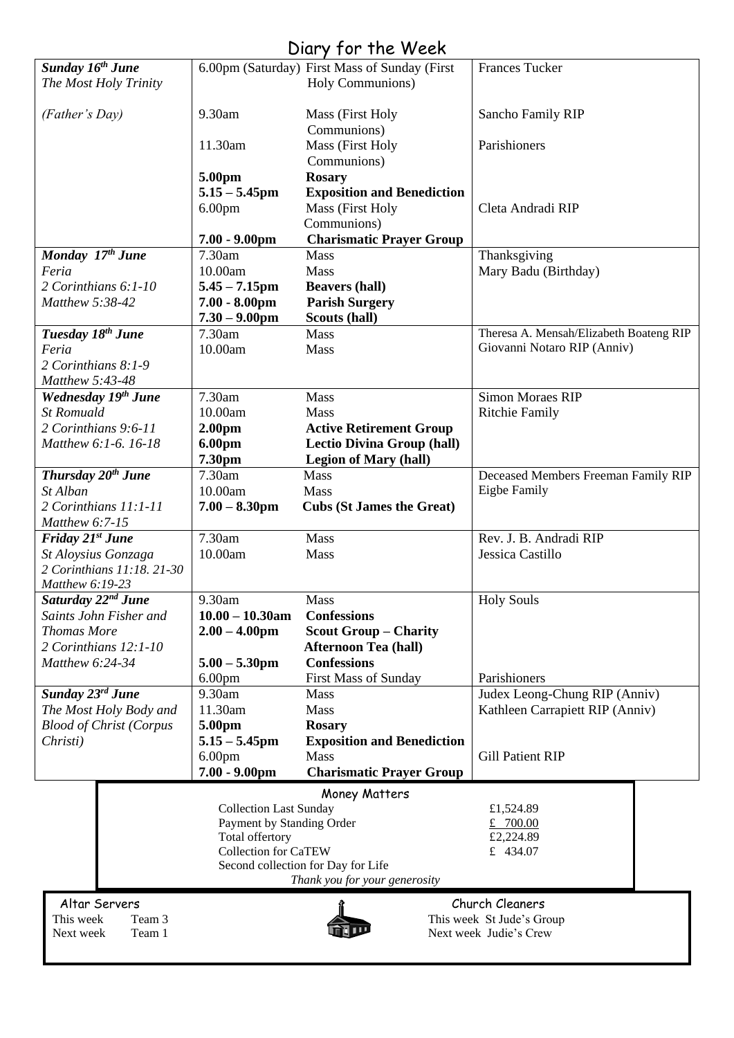# Diary for the Week

|                                            |                                      | $UUU$ , $VUU$ , $VUU$                              |                                         |
|--------------------------------------------|--------------------------------------|----------------------------------------------------|-----------------------------------------|
| Sunday 16 <sup>th</sup> June               |                                      | 6.00pm (Saturday) First Mass of Sunday (First      | <b>Frances Tucker</b>                   |
| The Most Holy Trinity                      |                                      | Holy Communions)                                   |                                         |
|                                            |                                      |                                                    |                                         |
| (Father's Day)                             | 9.30am                               | Mass (First Holy<br>Communions)                    | Sancho Family RIP                       |
|                                            | 11.30am                              | Mass (First Holy                                   | Parishioners                            |
|                                            |                                      | Communions)                                        |                                         |
|                                            | 5.00pm                               | <b>Rosary</b>                                      |                                         |
|                                            | $5.15 - 5.45$ pm                     | <b>Exposition and Benediction</b>                  |                                         |
|                                            | 6.00 <sub>pm</sub>                   | Mass (First Holy                                   | Cleta Andradi RIP                       |
|                                            |                                      | Communions)                                        |                                         |
|                                            | $7.00 - 9.00$ pm                     | <b>Charismatic Prayer Group</b>                    |                                         |
| Monday 17th June                           | 7.30am                               | Mass                                               | Thanksgiving                            |
| Feria                                      | 10.00am                              | Mass                                               | Mary Badu (Birthday)                    |
| 2 Corinthians 6:1-10                       | $5.45 - 7.15$ pm                     | <b>Beavers (hall)</b>                              |                                         |
| Matthew 5:38-42                            | $7.00 - 8.00$ pm<br>$7.30 - 9.00$ pm | <b>Parish Surgery</b><br>Scouts (hall)             |                                         |
| Tuesday 18 <sup>th</sup> June              | 7.30am                               | Mass                                               | Theresa A. Mensah/Elizabeth Boateng RIP |
| Feria                                      | 10.00am                              | Mass                                               | Giovanni Notaro RIP (Anniv)             |
| 2 Corinthians 8:1-9                        |                                      |                                                    |                                         |
| Matthew 5:43-48                            |                                      |                                                    |                                         |
| Wednesday 19th June                        | 7.30am                               | Mass                                               | <b>Simon Moraes RIP</b>                 |
| <b>St Romuald</b>                          | 10.00am                              | Mass                                               | <b>Ritchie Family</b>                   |
| 2 Corinthians 9:6-11                       | 2.00 <sub>pm</sub>                   | <b>Active Retirement Group</b>                     |                                         |
| Matthew 6:1-6. 16-18                       | 6.00pm                               | <b>Lectio Divina Group (hall)</b>                  |                                         |
|                                            | 7.30pm                               | <b>Legion of Mary (hall)</b>                       |                                         |
| Thursday $20^{th}$ June                    | 7.30am                               | Mass                                               | Deceased Members Freeman Family RIP     |
| St Alban                                   | 10.00am                              | Mass                                               | <b>Eigbe Family</b>                     |
| 2 Corinthians 11:1-11                      | $7.00 - 8.30$ pm                     | <b>Cubs (St James the Great)</b>                   |                                         |
| Matthew $6:7-15$<br>Friday 21st June       | 7.30am                               | Mass                                               | Rev. J. B. Andradi RIP                  |
| St Aloysius Gonzaga                        | 10.00am                              | Mass                                               | Jessica Castillo                        |
| 2 Corinthians 11:18. 21-30                 |                                      |                                                    |                                         |
| Matthew 6:19-23                            |                                      |                                                    |                                         |
| Saturday 22 <sup>nd</sup> June             | 9.30am                               | Mass                                               | <b>Holy Souls</b>                       |
| Saints John Fisher and                     | $10.00 - 10.30$ am                   | <b>Confessions</b>                                 |                                         |
| <b>Thomas More</b>                         | $2.00 - 4.00$ pm                     | <b>Scout Group - Charity</b>                       |                                         |
| 2 Corinthians 12:1-10                      |                                      | <b>Afternoon Tea (hall)</b>                        |                                         |
| Matthew 6:24-34                            | $5.00 - 5.30$ pm                     | <b>Confessions</b>                                 |                                         |
|                                            | 6.00 <sub>pm</sub>                   | First Mass of Sunday                               | Parishioners                            |
| Sunday 23rd June                           | 9.30am                               | Mass                                               | Judex Leong-Chung RIP (Anniv)           |
| The Most Holy Body and                     | 11.30am                              | Mass                                               | Kathleen Carrapiett RIP (Anniv)         |
| <b>Blood of Christ (Corpus</b><br>Christi) | 5.00pm<br>$5.15 - 5.45$ pm           | <b>Rosary</b><br><b>Exposition and Benediction</b> |                                         |
|                                            | 6.00 <sub>pm</sub>                   | <b>Mass</b>                                        | <b>Gill Patient RIP</b>                 |
|                                            | $7.00 - 9.00$ pm                     | <b>Charismatic Prayer Group</b>                    |                                         |
|                                            |                                      |                                                    |                                         |
|                                            | <b>Collection Last Sunday</b>        | Money Matters                                      | £1,524.89                               |
|                                            | Payment by Standing Order            |                                                    | £ 700.00                                |
|                                            | Total offertory                      |                                                    | £2,224.89                               |
|                                            | <b>Collection for CaTEW</b>          |                                                    | £ 434.07                                |
|                                            |                                      | Second collection for Day for Life                 |                                         |
|                                            |                                      | Thank you for your generosity                      |                                         |
| Altar Servers                              |                                      |                                                    | Church Cleaners                         |
| This week<br>Team 3                        |                                      |                                                    | This week St Jude's Group               |
| Next week<br>Team 1                        |                                      |                                                    | Next week Judie's Crew                  |
|                                            |                                      |                                                    |                                         |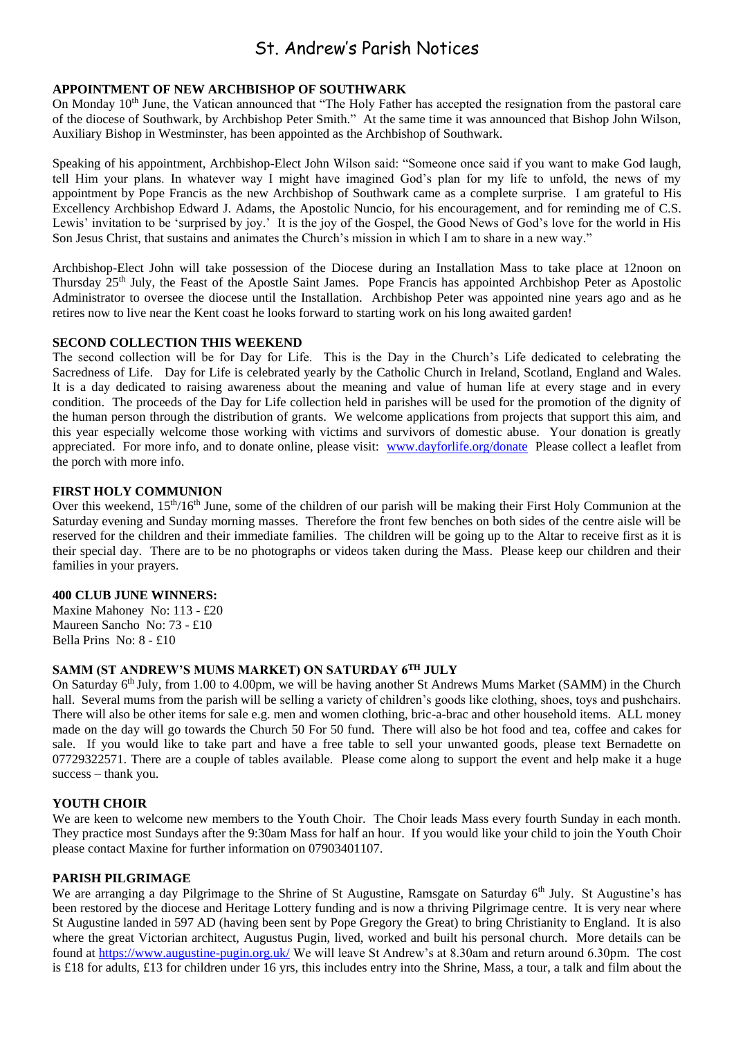# St. Andrew's Parish Notices

# **APPOINTMENT OF NEW ARCHBISHOP OF SOUTHWARK**

On Monday 10<sup>th</sup> June, the Vatican announced that "The Holy Father has accepted the resignation from the pastoral care of the diocese of Southwark, by Archbishop Peter Smith." At the same time it was announced that Bishop John Wilson, Auxiliary Bishop in Westminster, has been appointed as the Archbishop of Southwark.

Speaking of his appointment, Archbishop-Elect John Wilson said: "Someone once said if you want to make God laugh, tell Him your plans. In whatever way I might have imagined God's plan for my life to unfold, the news of my appointment by Pope Francis as the new Archbishop of Southwark came as a complete surprise. I am grateful to His Excellency Archbishop Edward J. Adams, the Apostolic Nuncio, for his encouragement, and for reminding me of C.S. Lewis' invitation to be 'surprised by joy.' It is the joy of the Gospel, the Good News of God's love for the world in His Son Jesus Christ, that sustains and animates the Church's mission in which I am to share in a new way."

Archbishop-Elect John will take possession of the Diocese during an Installation Mass to take place at 12noon on Thursday 25th July, the Feast of the Apostle Saint James. Pope Francis has appointed Archbishop Peter as Apostolic Administrator to oversee the diocese until the Installation. Archbishop Peter was appointed nine years ago and as he retires now to live near the Kent coast he looks forward to starting work on his long awaited garden!

### **SECOND COLLECTION THIS WEEKEND**

The second collection will be for Day for Life. This is the Day in the Church's Life dedicated to celebrating the Sacredness of Life. Day for Life is celebrated yearly by the Catholic Church in Ireland, Scotland, England and Wales. It is a day dedicated to raising awareness about the meaning and value of human life at every stage and in every condition. The proceeds of the Day for Life collection held in parishes will be used for the promotion of the dignity of the human person through the distribution of grants. We welcome applications from projects that support this aim, and this year especially welcome those working with victims and survivors of domestic abuse. Your donation is greatly appreciated. For more info, and to donate online, please visit: [www.dayforlife.org/donate](http://www.dayforlife.org/donate) Please collect a leaflet from the porch with more info.

### **FIRST HOLY COMMUNION**

Over this weekend,  $15<sup>th</sup>/16<sup>th</sup>$  June, some of the children of our parish will be making their First Holy Communion at the Saturday evening and Sunday morning masses. Therefore the front few benches on both sides of the centre aisle will be reserved for the children and their immediate families. The children will be going up to the Altar to receive first as it is their special day. There are to be no photographs or videos taken during the Mass. Please keep our children and their families in your prayers.

### **400 CLUB JUNE WINNERS:**

Maxine Mahoney No: 113 - £20 Maureen Sancho No: 73 - £10 Bella Prins No: 8 - £10

### **SAMM (ST ANDREW'S MUMS MARKET) ON SATURDAY 6TH JULY**

On Saturday 6<sup>th</sup> July, from 1.00 to 4.00pm, we will be having another St Andrews Mums Market (SAMM) in the Church hall. Several mums from the parish will be selling a variety of children's goods like clothing, shoes, toys and pushchairs. There will also be other items for sale e.g. men and women clothing, bric-a-brac and other household items. ALL money made on the day will go towards the Church 50 For 50 fund. There will also be hot food and tea, coffee and cakes for sale. If you would like to take part and have a free table to sell your unwanted goods, please text Bernadette on 07729322571. There are a couple of tables available. Please come along to support the event and help make it a huge success – thank you.

# **YOUTH CHOIR**

We are keen to welcome new members to the Youth Choir. The Choir leads Mass every fourth Sunday in each month. They practice most Sundays after the 9:30am Mass for half an hour. If you would like your child to join the Youth Choir please contact Maxine for further information on 07903401107.

#### **PARISH PILGRIMAGE**

We are arranging a day Pilgrimage to the Shrine of St Augustine, Ramsgate on Saturday 6<sup>th</sup> July. St Augustine's has been restored by the diocese and Heritage Lottery funding and is now a thriving Pilgrimage centre. It is very near where St Augustine landed in 597 AD (having been sent by Pope Gregory the Great) to bring Christianity to England. It is also where the great Victorian architect, Augustus Pugin, lived, worked and built his personal church. More details can be found at<https://www.augustine-pugin.org.uk/> We will leave St Andrew's at 8.30am and return around 6.30pm. The cost is £18 for adults, £13 for children under 16 yrs, this includes entry into the Shrine, Mass, a tour, a talk and film about the